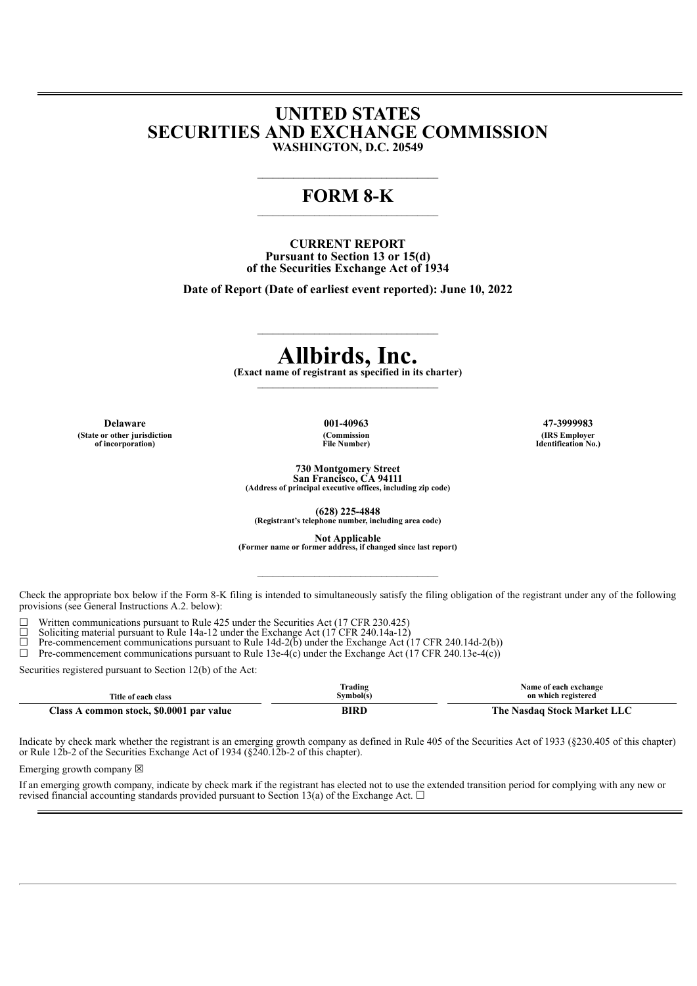## **UNITED STATES SECURITIES AND EXCHANGE COMMISSION WASHINGTON, D.C. 20549**

# **FORM 8-K**

**CURRENT REPORT Pursuant to Section 13 or 15(d) of the Securities Exchange Act of 1934**

**Date of Report (Date of earliest event reported): June 10, 2022**

# **Allbirds, Inc.**

**(Exact name of registrant as specified in its charter)**  $\mathcal{L}=\mathcal{L}=\mathcal{L}=\mathcal{L}=\mathcal{L}=\mathcal{L}=\mathcal{L}=\mathcal{L}=\mathcal{L}=\mathcal{L}=\mathcal{L}=\mathcal{L}=\mathcal{L}=\mathcal{L}=\mathcal{L}=\mathcal{L}=\mathcal{L}=\mathcal{L}=\mathcal{L}=\mathcal{L}=\mathcal{L}=\mathcal{L}=\mathcal{L}=\mathcal{L}=\mathcal{L}=\mathcal{L}=\mathcal{L}=\mathcal{L}=\mathcal{L}=\mathcal{L}=\mathcal{L}=\mathcal{L}=\mathcal{L}=\mathcal{L}=\mathcal{L}=\mathcal{L}=\mathcal{$ 

**(State or other jurisdiction of incorporation)**

**(Commission File Number)**

**Delaware 001-40963 47-3999983 (IRS Employer Identification No.)**

**730 Montgomery Street**

**San Francisco, CA 94111 (Address of principal executive offices, including zip code)**

**(628) 225-4848 (Registrant's telephone number, including area code)**

**Not Applicable (Former name or former address, if changed since last report)**

 $\mathcal{L}_\text{max}$ 

Check the appropriate box below if the Form 8-K filing is intended to simultaneously satisfy the filing obligation of the registrant under any of the following provisions (see General Instructions A.2. below):

 $\Box$  Written communications pursuant to Rule 425 under the Securities Act (17 CFR 230.425)  $\Box$  Soliciting material pursuant to Rule 14a-12 under the Exchange Act (17 CFR 240 14a-12)

□ Solicitying material pursuit to Rule 14a-12 under the Exchange Act (17 CFR 240.14a-12) <math display="inline">\Box</math> Pre-component communications pursuit to Rule 14d-2(b) under the Exchange Act (

 $\Box$  Pre-commencement communications pursuant to Rule 14d-2(b) under the Exchange Act (17 CFR 240.14d-2(b))<br>  $\Box$  Pre-commencement communications pursuant to Rule 13e-4(c) under the Exchange Act (17 CFR 240.13e-4(c))

Pre-commencement communications pursuant to Rule 13e-4(c) under the Exchange Act (17 CFR 240.13e-4(c))

Securities registered pursuant to Section 12(b) of the Act:

| Title of each class                            | Trading<br>Symbol(s) | Name of each exchange<br>on which registered |  |
|------------------------------------------------|----------------------|----------------------------------------------|--|
| r.<br>common stock, \$0.0001 par value<br>lass | DIDI                 | Nasdag Stock Market LLC<br>i`he              |  |

Indicate by check mark whether the registrant is an emerging growth company as defined in Rule 405 of the Securities Act of 1933 (§230.405 of this chapter) or Rule 12b-2 of the Securities Exchange Act of 1934 (§240.12b-2 of this chapter).

Emerging growth company  $\boxtimes$ 

If an emerging growth company, indicate by check mark if the registrant has elected not to use the extended transition period for complying with any new or revised financial accounting standards provided pursuant to Section 13(a) of the Exchange Act.  $\Box$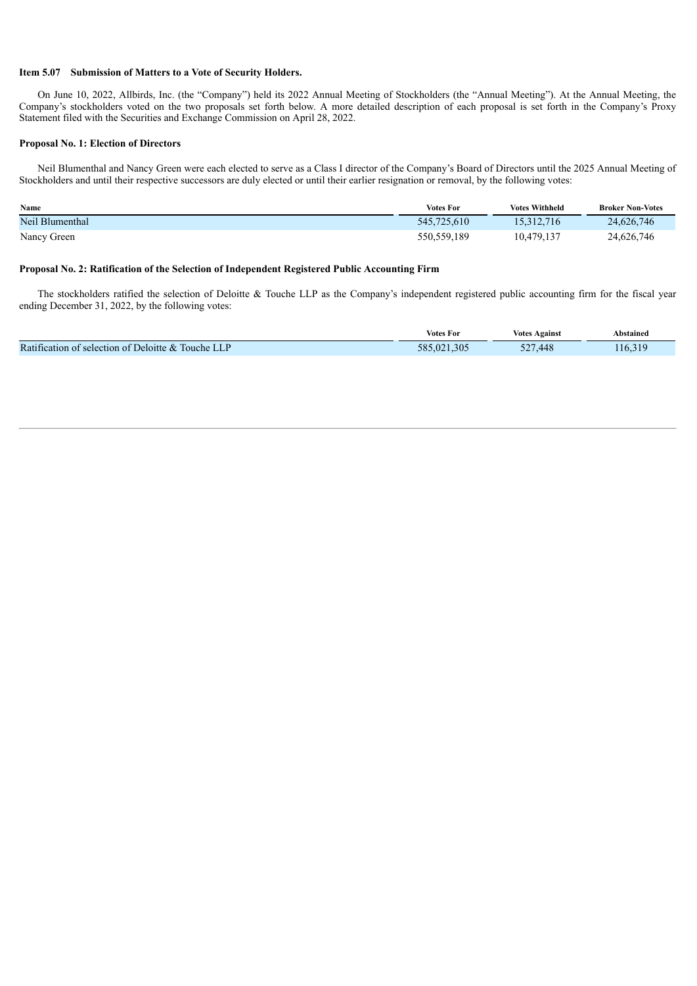#### **Item 5.07 Submission of Matters to a Vote of Security Holders.**

On June 10, 2022, Allbirds, Inc. (the "Company") held its 2022 Annual Meeting of Stockholders (the "Annual Meeting"). At the Annual Meeting, the Company's stockholders voted on the two proposals set forth below. A more detailed description of each proposal is set forth in the Company's Proxy Statement filed with the Securities and Exchange Commission on April 28, 2022.

#### **Proposal No. 1: Election of Directors**

Neil Blumenthal and Nancy Green were each elected to serve as a Class I director of the Company's Board of Directors until the 2025 Annual Meeting of Stockholders and until their respective successors are duly elected or until their earlier resignation or removal, by the following votes:

| <b>Name</b>     | <b>Votes For</b> | <b>Votes Withheld</b> | <b>Broker Non-Votes</b> |
|-----------------|------------------|-----------------------|-------------------------|
| Neil Blumenthal | 545,725,610      | 15,312,716            | 24,626,746              |
| Nancy Green     | 550, 559, 189    | 10,479,137            | 24,626,746              |

#### **Proposal No. 2: Ratification of the Selection of Independent Registered Public Accounting Firm**

The stockholders ratified the selection of Deloitte & Touche LLP as the Company's independent registered public accounting firm for the fiscal year ending December 31, 2022, by the following votes:

|                                                            | <b>Votes For</b> | Votes<br>Against      | Abstained           |
|------------------------------------------------------------|------------------|-----------------------|---------------------|
| Ratification of selection of Deloitte &<br>Touche<br>الباط | 1.305<br>585.021 | .448<br>$\sim$<br>- - | $-319$<br>$116.3 -$ |